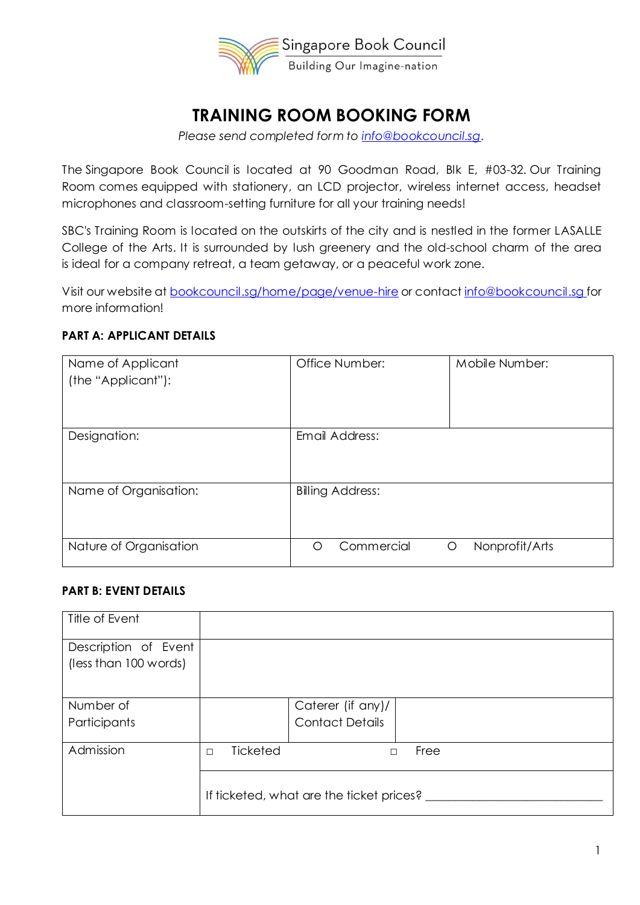

# **TRAINING ROOM BOOKING FORM**

*Please send completed form to [info@bookcouncil.sg.](mailto:info@bookcouncil.sg)*

The Singapore Book Council is located at 90 Goodman Road, Blk E, #03-32. Our Training Room comes equipped with stationery, an LCD projector, wireless internet access, headset microphones and classroom-setting furniture for all your training needs!

SBC's Training Room is located on the outskirts of the city and is nestled in the former LASALLE College of the Arts. It is surrounded by lush greenery and the old-school charm of the area is ideal for a company retreat, a team getaway, or a peaceful work zone.

Visit our website a[t bookcouncil.sg/home/page/venue-hire](http://bookcouncil.sg/home/page/venue-hire) or contact [info@bookcouncil.sg](mailto:info@bookcouncil.sg) for more information!

# **PART A: APPLICANT DETAILS**

| Name of Applicant<br>(the "Applicant"): | Office Number:          | Mobile Number:      |
|-----------------------------------------|-------------------------|---------------------|
| Designation:                            | Email Address:          |                     |
| Name of Organisation:                   | <b>Billing Address:</b> |                     |
| Nature of Organisation                  | Commercial<br>O         | Nonprofit/Arts<br>O |

### **PART B: EVENT DETAILS**

| Title of Event                                |                    |                                          |      |
|-----------------------------------------------|--------------------|------------------------------------------|------|
| Description of Event<br>(less than 100 words) |                    |                                          |      |
| Number of                                     |                    | Caterer (if any)/                        |      |
| Participants                                  |                    | <b>Contact Details</b>                   |      |
| Admission                                     | Ticketed<br>$\Box$ |                                          | Free |
|                                               |                    | If ticketed, what are the ticket prices? |      |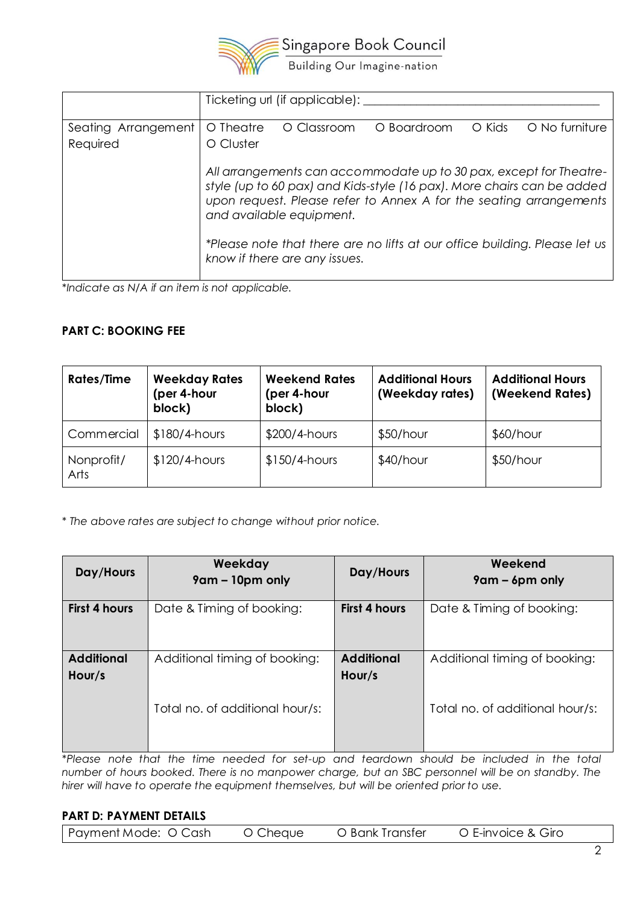

|                     | Ticketing url (if applicable):                                                                                                                                                                                                                 |  |  |  |  |  |
|---------------------|------------------------------------------------------------------------------------------------------------------------------------------------------------------------------------------------------------------------------------------------|--|--|--|--|--|
| Seating Arrangement | O No furniture<br>O Theatre<br>O Boardroom<br>O Kids<br>O Classroom                                                                                                                                                                            |  |  |  |  |  |
| Required            | O Cluster                                                                                                                                                                                                                                      |  |  |  |  |  |
|                     | All arrangements can accommodate up to 30 pax, except for Theatre-<br>style (up to 60 pax) and Kids-style (16 pax). More chairs can be added<br>upon request. Please refer to Annex A for the seating arrangements<br>and available equipment. |  |  |  |  |  |
|                     | *Please note that there are no lifts at our office building. Please let us<br>know if there are any issues.                                                                                                                                    |  |  |  |  |  |

*\*Indicate as N/A if an item is not applicable.*

## **PART C: BOOKING FEE**

| <b>Rates/Time</b>  | <b>Weekday Rates</b><br>(per 4-hour<br>block) | <b>Weekend Rates</b><br>(per 4-hour<br>block) | <b>Additional Hours</b><br>(Weekday rates) | <b>Additional Hours</b><br>(Weekend Rates) |
|--------------------|-----------------------------------------------|-----------------------------------------------|--------------------------------------------|--------------------------------------------|
| Commercial         | $$180/4$ -hours                               | $$200/4$ -hours                               | $$50/h$ our                                | $$60/h$ our                                |
| Nonprofit/<br>Arts | $$120/4$ -hours                               | $$150/4$ -hours                               | $$40/h$ our                                | $$50/h$ our                                |

*\* The above rates are subject to change without prior notice.*

| Day/Hours                   | Weekday<br>$9$ am – 10pm only   | Day/Hours                   | Weekend<br>$9$ am – 6pm only    |
|-----------------------------|---------------------------------|-----------------------------|---------------------------------|
| <b>First 4 hours</b>        | Date & Timing of booking:       | <b>First 4 hours</b>        | Date & Timing of booking:       |
| <b>Additional</b><br>Hour/s | Additional timing of booking:   | <b>Additional</b><br>Hour/s | Additional timing of booking:   |
|                             | Total no. of additional hour/s: |                             | Total no. of additional hour/s: |

*\*Please note that the time needed for set-up and teardown should be included in the total number of hours booked. There is no manpower charge, but an SBC personnel will be on standby. The hirer will have to operate the equipment themselves, but will be oriented prior to use.*

#### **PART D: PAYMENT DETAILS**

| Payment Mode: O Cash | O Cheque | O Bank Transfer | O E-invoice & Giro |  |
|----------------------|----------|-----------------|--------------------|--|
|----------------------|----------|-----------------|--------------------|--|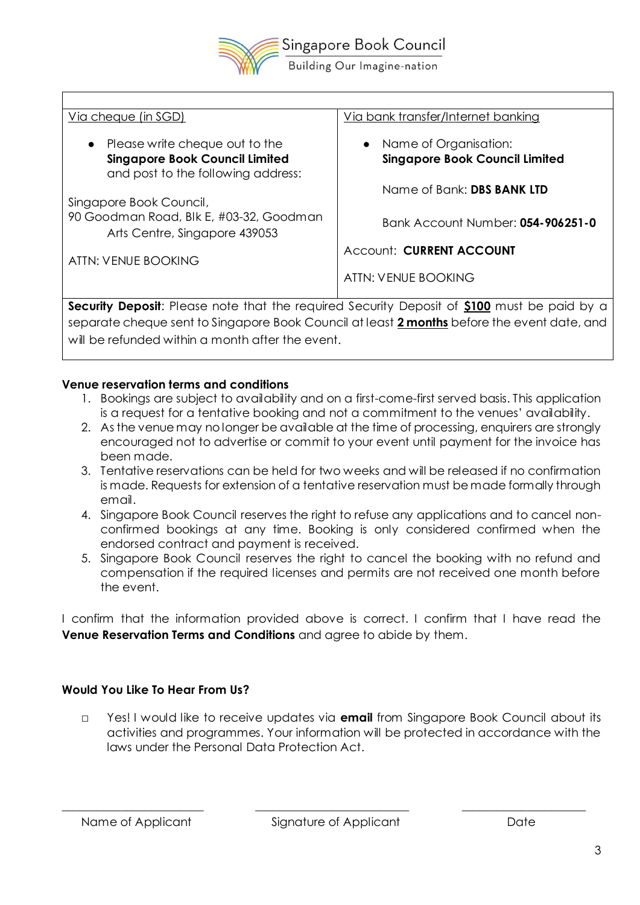

Via cheque (in SGD) ● Please write cheque out to the **Singapore Book Council Limited** and post to the following address: Singapore Book Council, 90 Goodman Road, Blk E, #03-32, Goodman Arts Centre, Singapore 439053 ATTN: VENUE BOOKING Via bank transfer/Internet banking Name of Organisation: **Singapore Book Council Limited** Name of Bank: **DBS BANK LTD** Bank Account Number: **054-906251-0** Account: **CURRENT ACCOUNT** ATTN: VENUE BOOKING **Security Deposit**: Please note that the required Security Deposit of **\$100** must be paid by a

separate cheque sent to Singapore Book Council at least **2 months** before the event date, and will be refunded within a month after the event.

# **Venue reservation terms and conditions**

- 1. Bookings are subject to availability and on a first-come-first served basis. This application is a request for a tentative booking and not a commitment to the venues' availability.
- 2. As the venue may no longer be available at the time of processing, enquirers are strongly encouraged not to advertise or commit to your event until payment for the invoice has been made.
- 3. Tentative reservations can be held for two weeks and will be released if no confirmation is made. Requests for extension of a tentative reservation must be made formally through email.
- 4. Singapore Book Council reserves the right to refuse any applications and to cancel nonconfirmed bookings at any time. Booking is only considered confirmed when the endorsed contract and payment is received.
- 5. Singapore Book Council reserves the right to cancel the booking with no refund and compensation if the required licenses and permits are not received one month before the event.

I confirm that the information provided above is correct. I confirm that I have read the **Venue Reservation Terms and Conditions** and agree to abide by them.

# **Would You Like To Hear From Us?**

□ Yes! I would like to receive updates via **email** from Singapore Book Council about its activities and programmes. Your information will be protected in accordance with the laws under the Personal Data Protection Act.

\_\_\_\_\_\_\_\_\_\_\_\_\_\_\_\_\_\_\_\_\_\_\_\_ \_\_\_\_\_\_\_\_\_\_\_\_\_\_\_\_\_\_\_\_\_\_\_\_\_\_ \_\_\_\_\_\_\_\_\_\_\_\_\_\_\_\_\_\_\_\_\_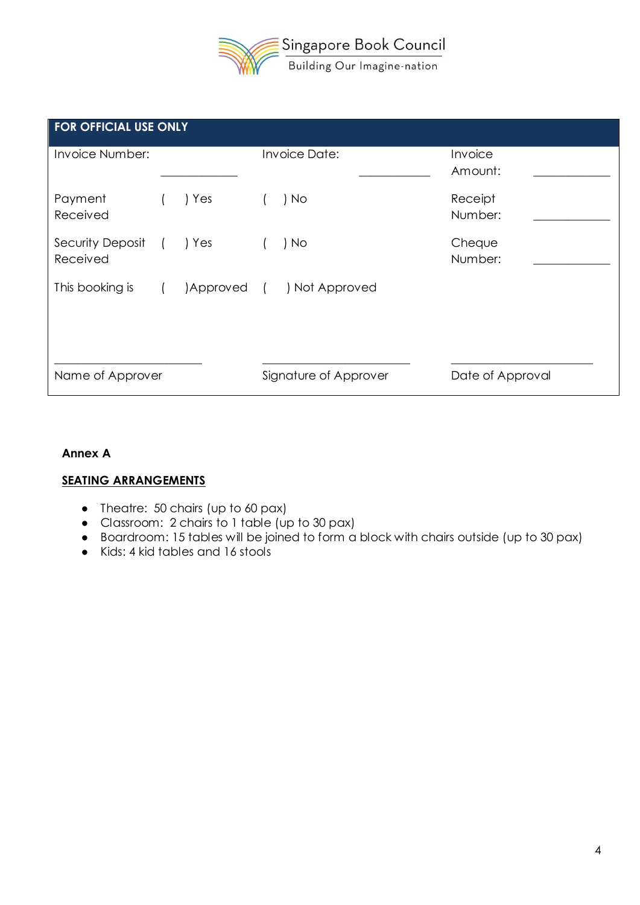

| <b>FOR OFFICIAL USE ONLY</b> |  |            |                       |                      |                    |  |
|------------------------------|--|------------|-----------------------|----------------------|--------------------|--|
| Invoice Number:              |  |            |                       | <b>Invoice Date:</b> | Invoice<br>Amount: |  |
| Payment<br>Received          |  | ) Yes      |                       | ) No                 | Receipt<br>Number: |  |
| Security Deposit<br>Received |  | ) Yes      |                       | ) No                 | Cheque<br>Number:  |  |
| This booking is              |  | Approved ( |                       | ) Not Approved       |                    |  |
| Name of Approver             |  |            | Signature of Approver | Date of Approval     |                    |  |

#### **Annex A**

### **SEATING ARRANGEMENTS**

- Theatre: 50 chairs (up to 60 pax)
- Classroom: 2 chairs to 1 table (up to 30 pax)
- Boardroom: 15 tables will be joined to form a block with chairs outside (up to 30 pax)
- Kids: 4 kid tables and 16 stools